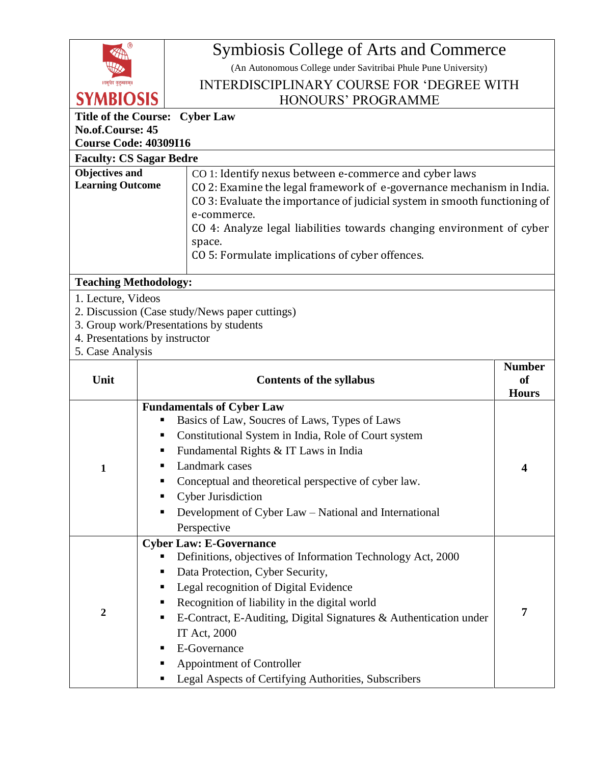| (R)<br>॥वसुधैव कुटुम्बकम्॥ |
|----------------------------|
| SYMBIOSIS                  |

# Symbiosis College of Arts and Commerce

(An Autonomous College under Savitribai Phule Pune University)

### INTERDISCIPLINARY COURSE FOR 'DEGREE WITH HONOURS' PROGRAMME

# **Title of the Course: Cyber Law**

**No.of.Course: 45**

**Course Code: 40309I16**

**Faculty: CS Sagar Bedre**

| Objectives and          | CO 1: Identify nexus between e-commerce and cyber laws                    |
|-------------------------|---------------------------------------------------------------------------|
| <b>Learning Outcome</b> | CO 2: Examine the legal framework of e-governance mechanism in India.     |
|                         | CO 3: Evaluate the importance of judicial system in smooth functioning of |
|                         | e-commerce.                                                               |
|                         | CO 4: Analyze legal liabilities towards changing environment of cyber     |
|                         | space.                                                                    |
|                         | CO 5: Formulate implications of cyber offences.                           |
|                         |                                                                           |

#### **Teaching Methodology:**

- 1. Lecture, Videos
- 2. Discussion (Case study/News paper cuttings)
- 3. Group work/Presentations by students
- 4. Presentations by instructor
- 5. Case Analysis

| Unit           | <b>Contents of the syllabus</b>                                                                                                                                                                                                                                                                                                                                                                                                                                    | <b>Number</b><br>of<br><b>Hours</b> |
|----------------|--------------------------------------------------------------------------------------------------------------------------------------------------------------------------------------------------------------------------------------------------------------------------------------------------------------------------------------------------------------------------------------------------------------------------------------------------------------------|-------------------------------------|
| 1              | <b>Fundamentals of Cyber Law</b><br>Basics of Law, Soucres of Laws, Types of Laws<br>ш<br>Constitutional System in India, Role of Court system<br>■<br>Fundamental Rights & IT Laws in India<br>٠<br>Landmark cases<br>Conceptual and theoretical perspective of cyber law.<br>■<br>Cyber Jurisdiction<br>п<br>Development of Cyber Law – National and International<br>п                                                                                          | 4                                   |
| $\overline{2}$ | Perspective<br><b>Cyber Law: E-Governance</b><br>Definitions, objectives of Information Technology Act, 2000<br>■<br>Data Protection, Cyber Security,<br>п<br>Legal recognition of Digital Evidence<br>ш<br>Recognition of liability in the digital world<br>E-Contract, E-Auditing, Digital Signatures & Authentication under<br>٠<br>IT Act, 2000<br>E-Governance<br>٠<br>Appointment of Controller<br>Legal Aspects of Certifying Authorities, Subscribers<br>■ | 7                                   |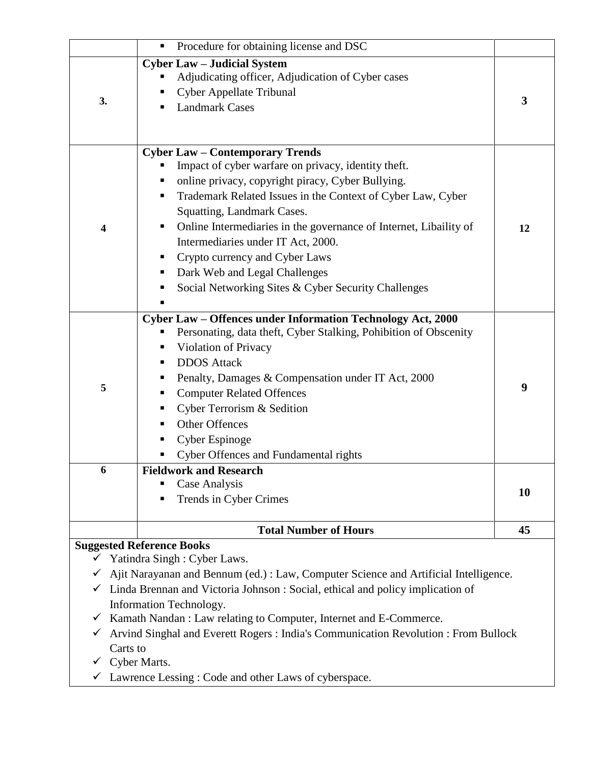|                                                                                                   | Procedure for obtaining license and DSC                                |    |  |  |
|---------------------------------------------------------------------------------------------------|------------------------------------------------------------------------|----|--|--|
|                                                                                                   | <b>Cyber Law - Judicial System</b>                                     |    |  |  |
|                                                                                                   | Adjudicating officer, Adjudication of Cyber cases                      |    |  |  |
|                                                                                                   | <b>Cyber Appellate Tribunal</b>                                        |    |  |  |
| 3.                                                                                                | <b>Landmark Cases</b>                                                  | 3  |  |  |
|                                                                                                   |                                                                        |    |  |  |
|                                                                                                   |                                                                        |    |  |  |
|                                                                                                   | <b>Cyber Law - Contemporary Trends</b>                                 |    |  |  |
|                                                                                                   | Impact of cyber warfare on privacy, identity theft.                    |    |  |  |
|                                                                                                   | online privacy, copyright piracy, Cyber Bullying.                      |    |  |  |
|                                                                                                   | Trademark Related Issues in the Context of Cyber Law, Cyber            |    |  |  |
|                                                                                                   | Squatting, Landmark Cases.                                             |    |  |  |
| 4                                                                                                 | Online Intermediaries in the governance of Internet, Libaility of<br>ш | 12 |  |  |
|                                                                                                   | Intermediaries under IT Act, 2000.                                     |    |  |  |
|                                                                                                   | Crypto currency and Cyber Laws<br>ш                                    |    |  |  |
|                                                                                                   | Dark Web and Legal Challenges<br>п                                     |    |  |  |
|                                                                                                   | Social Networking Sites & Cyber Security Challenges                    |    |  |  |
|                                                                                                   |                                                                        |    |  |  |
|                                                                                                   | Cyber Law - Offences under Information Technology Act, 2000            |    |  |  |
|                                                                                                   | Personating, data theft, Cyber Stalking, Pohibition of Obscenity       |    |  |  |
|                                                                                                   | Violation of Privacy<br>п                                              |    |  |  |
|                                                                                                   | <b>DDOS</b> Attack<br>п                                                |    |  |  |
|                                                                                                   | Penalty, Damages & Compensation under IT Act, 2000<br>ш                |    |  |  |
| 5                                                                                                 | <b>Computer Related Offences</b>                                       | 9  |  |  |
|                                                                                                   | Cyber Terrorism & Sedition<br>п                                        |    |  |  |
|                                                                                                   | Other Offences                                                         |    |  |  |
|                                                                                                   | Cyber Espinoge                                                         |    |  |  |
|                                                                                                   | Cyber Offences and Fundamental rights                                  |    |  |  |
| 6                                                                                                 | <b>Fieldwork and Research</b>                                          |    |  |  |
|                                                                                                   | Case Analysis                                                          |    |  |  |
|                                                                                                   | Trends in Cyber Crimes<br>п                                            | 10 |  |  |
|                                                                                                   |                                                                        |    |  |  |
|                                                                                                   | <b>Total Number of Hours</b>                                           | 45 |  |  |
| <b>Suggested Reference Books</b>                                                                  |                                                                        |    |  |  |
| ✓                                                                                                 | Yatindra Singh: Cyber Laws.                                            |    |  |  |
| Ajit Narayanan and Bennum (ed.): Law, Computer Science and Artificial Intelligence.<br>✓          |                                                                        |    |  |  |
| $\checkmark$ Linda Brennan and Victoria Johnson : Social, ethical and policy implication of       |                                                                        |    |  |  |
| Information Technology.                                                                           |                                                                        |    |  |  |
| Kamath Nandan : Law relating to Computer, Internet and E-Commerce.<br>✓                           |                                                                        |    |  |  |
| Arvind Singhal and Everett Rogers: India's Communication Revolution: From Bullock<br>$\checkmark$ |                                                                        |    |  |  |
| Carts to                                                                                          |                                                                        |    |  |  |
| $\checkmark$ Cyber Marts.                                                                         |                                                                        |    |  |  |
| Lawrence Lessing: Code and other Laws of cyberspace.                                              |                                                                        |    |  |  |